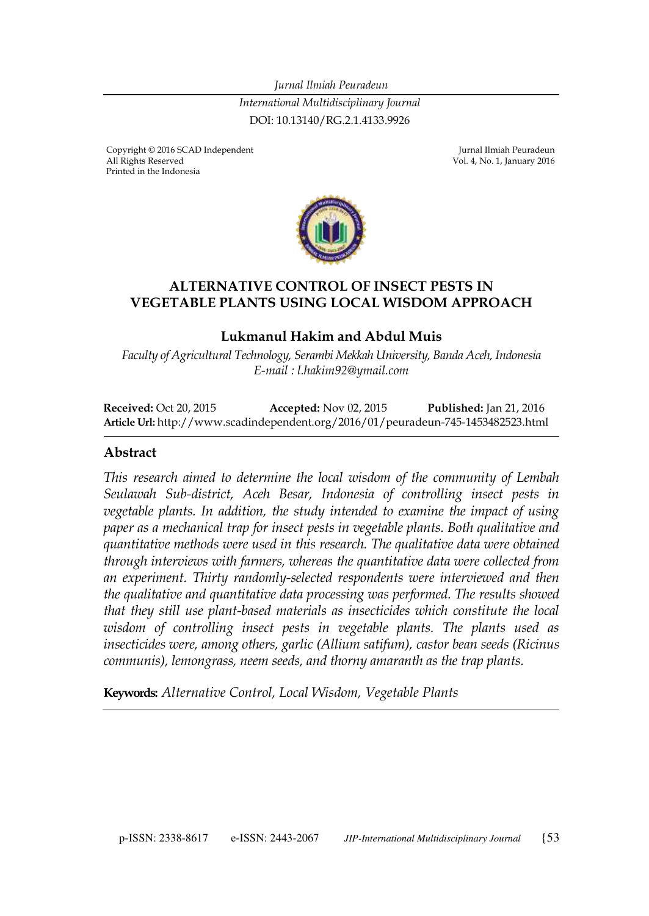*Jurnal Ilmiah Peuradeun International Multidisciplinary Journal*  DOI: 10.13140/RG.2.1.4133.9926

Copyright © 2016 SCAD Independent Georgia Copyright © 2016 SCAD Independent Jurnal Ilmiah Peuradeun All Rights Reserved Printed in the Indonesia

Vol. 4, No. 1, January 2016



#### **ALTERNATIVE CONTROL OF INSECT PESTS IN VEGETABLE PLANTS USING LOCAL WISDOM APPROACH**

#### **Lukmanul Hakim and Abdul Muis**

*Faculty of Agricultural Technology, Serambi Mekkah University, Banda Aceh, Indonesia E-mail : l.hakim92@ymail.com*

**Received:** Oct 20, 2015 **Accepted:** Nov 02, 2015 **Published:** Jan 21, 2016 **Article Url:** http://www.scadindependent.org/2016/01/peuradeun-745-1453482523.html

#### **Abstract**

*This research aimed to determine the local wisdom of the community of Lembah Seulawah Sub-district, Aceh Besar, Indonesia of controlling insect pests in vegetable plants. In addition, the study intended to examine the impact of using paper as a mechanical trap for insect pests in vegetable plants. Both qualitative and quantitative methods were used in this research. The qualitative data were obtained through interviews with farmers, whereas the quantitative data were collected from an experiment. Thirty randomly-selected respondents were interviewed and then the qualitative and quantitative data processing was performed. The results showed that they still use plant-based materials as insecticides which constitute the local wisdom of controlling insect pests in vegetable plants. The plants used as insecticides were, among others, garlic (Allium satifum), castor bean seeds (Ricinus communis), lemongrass, neem seeds, and thorny amaranth as the trap plants.* 

**Keywords:** *Alternative Control, Local Wisdom, Vegetable Plants*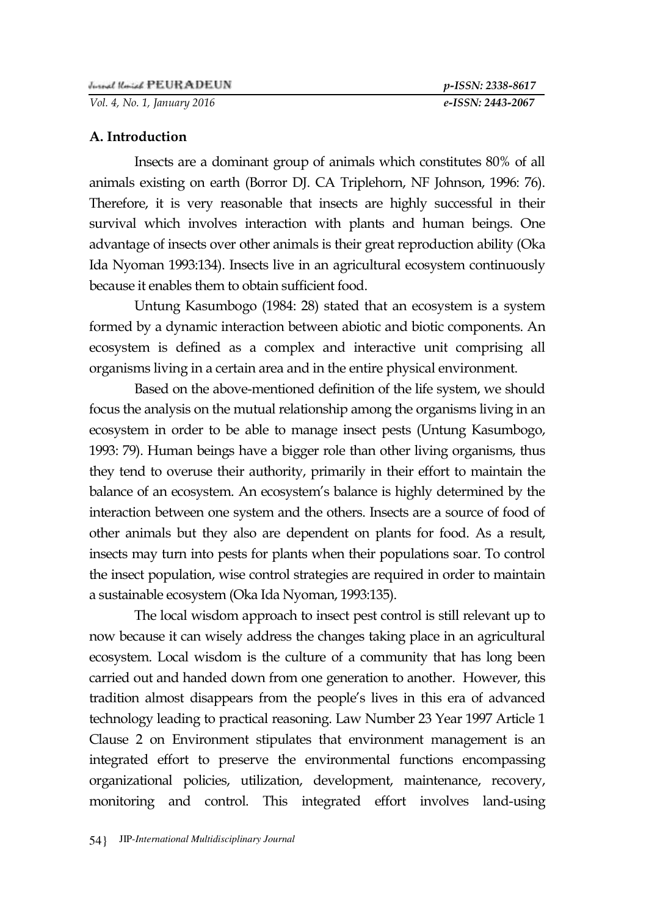*Vol. 4, No. 1, January 2016 e-ISSN: 2443-2067*

### **A. Introduction**

Insects are a dominant group of animals which constitutes 80% of all animals existing on earth (Borror DJ. CA Triplehorn, NF Johnson, 1996: 76). Therefore, it is very reasonable that insects are highly successful in their survival which involves interaction with plants and human beings. One advantage of insects over other animals is their great reproduction ability (Oka Ida Nyoman 1993:134). Insects live in an agricultural ecosystem continuously because it enables them to obtain sufficient food.

Untung Kasumbogo (1984: 28) stated that an ecosystem is a system formed by a dynamic interaction between abiotic and biotic components. An ecosystem is defined as a complex and interactive unit comprising all organisms living in a certain area and in the entire physical environment.

Based on the above-mentioned definition of the life system, we should focus the analysis on the mutual relationship among the organisms living in an ecosystem in order to be able to manage insect pests (Untung Kasumbogo, 1993: 79). Human beings have a bigger role than other living organisms, thus they tend to overuse their authority, primarily in their effort to maintain the balance of an ecosystem. An ecosystem's balance is highly determined by the interaction between one system and the others. Insects are a source of food of other animals but they also are dependent on plants for food. As a result, insects may turn into pests for plants when their populations soar. To control the insect population, wise control strategies are required in order to maintain a sustainable ecosystem (Oka Ida Nyoman, 1993:135).

The local wisdom approach to insect pest control is still relevant up to now because it can wisely address the changes taking place in an agricultural ecosystem. Local wisdom is the culture of a community that has long been carried out and handed down from one generation to another. However, this tradition almost disappears from the people's lives in this era of advanced technology leading to practical reasoning. Law Number 23 Year 1997 Article 1 Clause 2 on Environment stipulates that environment management is an integrated effort to preserve the environmental functions encompassing organizational policies, utilization, development, maintenance, recovery, monitoring and control. This integrated effort involves land-using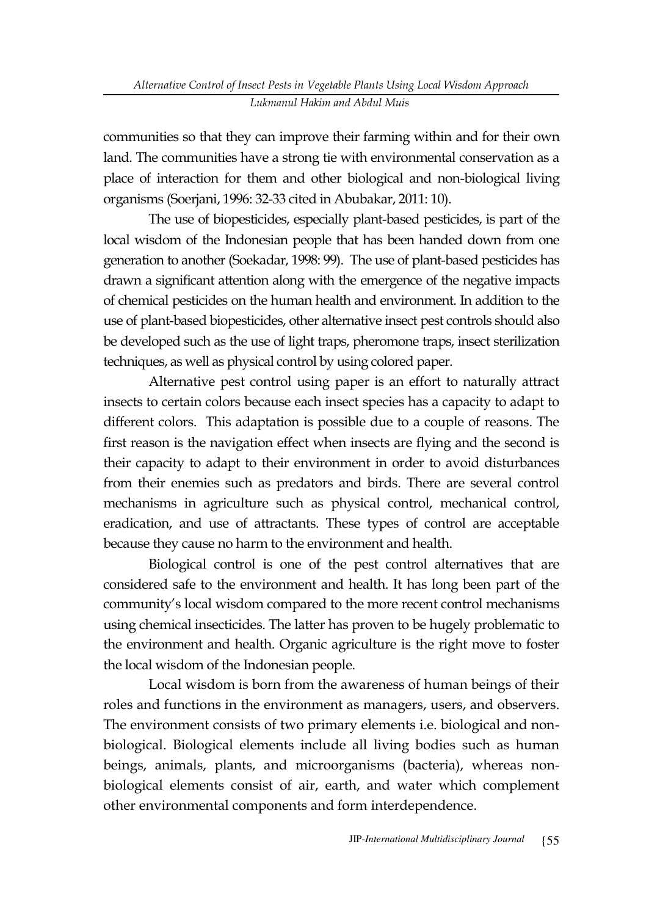communities so that they can improve their farming within and for their own land. The communities have a strong tie with environmental conservation as a place of interaction for them and other biological and non-biological living organisms (Soerjani, 1996: 32-33 cited in Abubakar, 2011: 10).

The use of biopesticides, especially plant-based pesticides, is part of the local wisdom of the Indonesian people that has been handed down from one generation to another (Soekadar, 1998: 99). The use of plant-based pesticides has drawn a significant attention along with the emergence of the negative impacts of chemical pesticides on the human health and environment. In addition to the use of plant-based biopesticides, other alternative insect pest controls should also be developed such as the use of light traps, pheromone traps, insect sterilization techniques, as well as physical control by using colored paper.

Alternative pest control using paper is an effort to naturally attract insects to certain colors because each insect species has a capacity to adapt to different colors. This adaptation is possible due to a couple of reasons. The first reason is the navigation effect when insects are flying and the second is their capacity to adapt to their environment in order to avoid disturbances from their enemies such as predators and birds. There are several control mechanisms in agriculture such as physical control, mechanical control, eradication, and use of attractants. These types of control are acceptable because they cause no harm to the environment and health.

Biological control is one of the pest control alternatives that are considered safe to the environment and health. It has long been part of the community's local wisdom compared to the more recent control mechanisms using chemical insecticides. The latter has proven to be hugely problematic to the environment and health. Organic agriculture is the right move to foster the local wisdom of the Indonesian people.

Local wisdom is born from the awareness of human beings of their roles and functions in the environment as managers, users, and observers. The environment consists of two primary elements i.e. biological and nonbiological. Biological elements include all living bodies such as human beings, animals, plants, and microorganisms (bacteria), whereas nonbiological elements consist of air, earth, and water which complement other environmental components and form interdependence.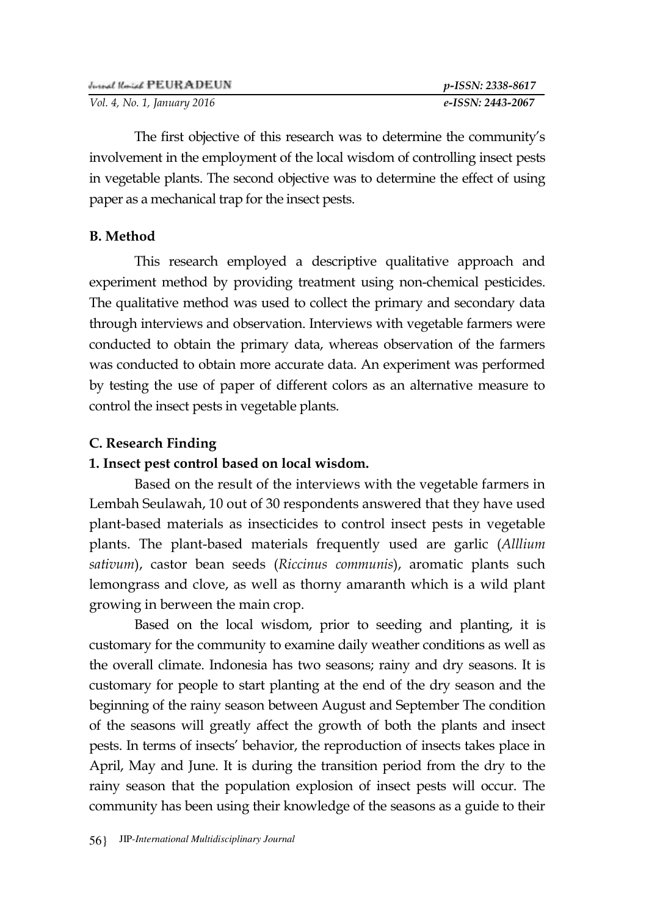| Justed Rosed PEURADEUN      | p-ISSN: 2338-8617 |
|-----------------------------|-------------------|
| Vol. 4, No. 1, January 2016 | e-ISSN: 2443-2067 |

The first objective of this research was to determine the community's involvement in the employment of the local wisdom of controlling insect pests in vegetable plants. The second objective was to determine the effect of using paper as a mechanical trap for the insect pests.

### **B. Method**

This research employed a descriptive qualitative approach and experiment method by providing treatment using non-chemical pesticides. The qualitative method was used to collect the primary and secondary data through interviews and observation. Interviews with vegetable farmers were conducted to obtain the primary data, whereas observation of the farmers was conducted to obtain more accurate data. An experiment was performed by testing the use of paper of different colors as an alternative measure to control the insect pests in vegetable plants.

### **C. Research Finding**

### **1. Insect pest control based on local wisdom.**

Based on the result of the interviews with the vegetable farmers in Lembah Seulawah, 10 out of 30 respondents answered that they have used plant-based materials as insecticides to control insect pests in vegetable plants. The plant-based materials frequently used are garlic (*Alllium sativum*), castor bean seeds (*Riccinus communis*), aromatic plants such lemongrass and clove, as well as thorny amaranth which is a wild plant growing in berween the main crop.

Based on the local wisdom, prior to seeding and planting, it is customary for the community to examine daily weather conditions as well as the overall climate. Indonesia has two seasons; rainy and dry seasons. It is customary for people to start planting at the end of the dry season and the beginning of the rainy season between August and September The condition of the seasons will greatly affect the growth of both the plants and insect pests. In terms of insects' behavior, the reproduction of insects takes place in April, May and June. It is during the transition period from the dry to the rainy season that the population explosion of insect pests will occur. The community has been using their knowledge of the seasons as a guide to their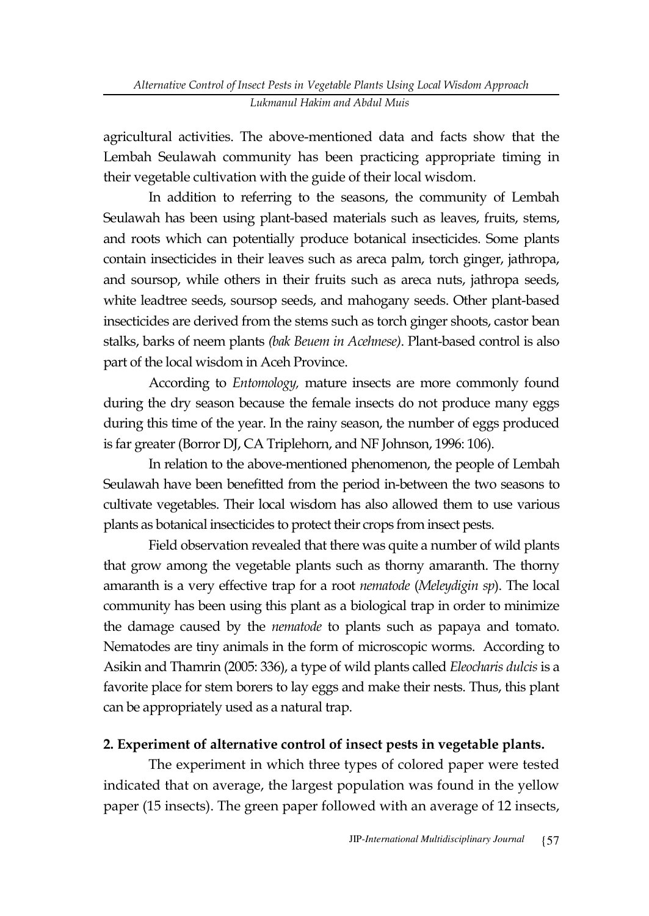agricultural activities. The above-mentioned data and facts show that the Lembah Seulawah community has been practicing appropriate timing in their vegetable cultivation with the guide of their local wisdom.

In addition to referring to the seasons, the community of Lembah Seulawah has been using plant-based materials such as leaves, fruits, stems, and roots which can potentially produce botanical insecticides. Some plants contain insecticides in their leaves such as areca palm, torch ginger, jathropa, and soursop, while others in their fruits such as areca nuts, jathropa seeds, white leadtree seeds, soursop seeds, and mahogany seeds. Other plant-based insecticides are derived from the stems such as torch ginger shoots, castor bean stalks, barks of neem plants *(bak Beuem in Acehnese)*. Plant-based control is also part of the local wisdom in Aceh Province.

According to *Entomology,* mature insects are more commonly found during the dry season because the female insects do not produce many eggs during this time of the year. In the rainy season, the number of eggs produced is far greater (Borror DJ, CA Triplehorn, and NF Johnson, 1996: 106).

In relation to the above-mentioned phenomenon, the people of Lembah Seulawah have been benefitted from the period in-between the two seasons to cultivate vegetables. Their local wisdom has also allowed them to use various plants as botanical insecticides to protect their crops from insect pests.

Field observation revealed that there was quite a number of wild plants that grow among the vegetable plants such as thorny amaranth. The thorny amaranth is a very effective trap for a root *nematode* (*Meleydigin sp*). The local community has been using this plant as a biological trap in order to minimize the damage caused by the *nematode* to plants such as papaya and tomato. Nematodes are tiny animals in the form of microscopic worms. According to Asikin and Thamrin (2005: 336), a type of wild plants called *Eleocharis dulcis* is a favorite place for stem borers to lay eggs and make their nests. Thus, this plant can be appropriately used as a natural trap.

### **2. Experiment of alternative control of insect pests in vegetable plants.**

The experiment in which three types of colored paper were tested indicated that on average, the largest population was found in the yellow paper (15 insects). The green paper followed with an average of 12 insects,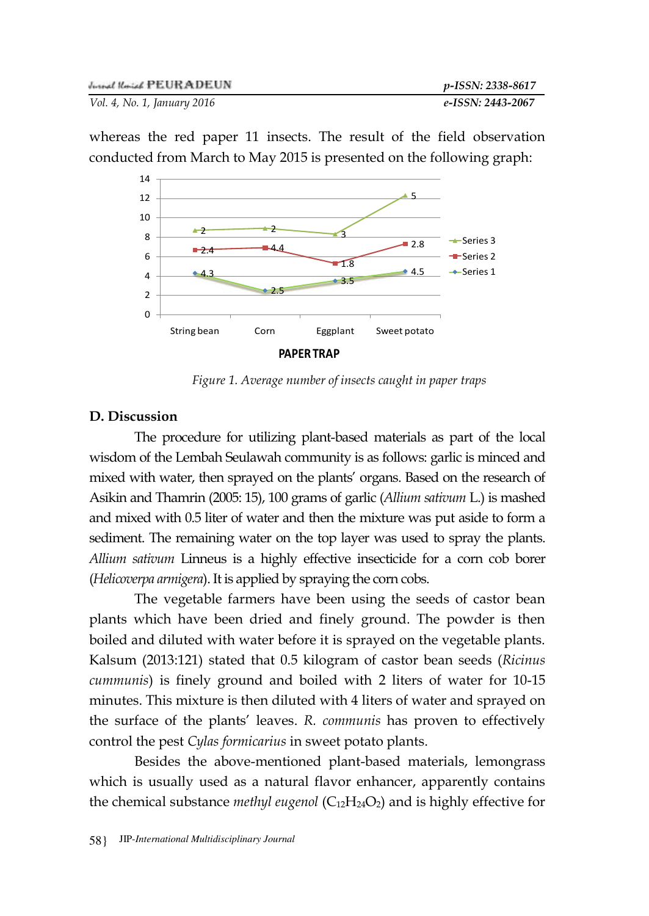

whereas the red paper 11 insects. The result of the field observation conducted from March to May 2015 is presented on the following graph:

*Figure 1. Average number of insects caught in paper traps* 

#### **D. Discussion**

The procedure for utilizing plant-based materials as part of the local wisdom of the Lembah Seulawah community is as follows: garlic is minced and mixed with water, then sprayed on the plants' organs. Based on the research of Asikin and Thamrin (2005: 15), 100 grams of garlic (*Allium sativum* L.) is mashed and mixed with 0.5 liter of water and then the mixture was put aside to form a sediment. The remaining water on the top layer was used to spray the plants. *Allium sativum* Linneus is a highly effective insecticide for a corn cob borer (*Helicoverpa armigera*). It is applied by spraying the corn cobs.

The vegetable farmers have been using the seeds of castor bean plants which have been dried and finely ground. The powder is then boiled and diluted with water before it is sprayed on the vegetable plants. Kalsum (2013:121) stated that 0.5 kilogram of castor bean seeds (*Ricinus cummunis*) is finely ground and boiled with 2 liters of water for 10-15 minutes. This mixture is then diluted with 4 liters of water and sprayed on the surface of the plants' leaves. *R. communis* has proven to effectively control the pest *Cylas formicarius* in sweet potato plants.

Besides the above-mentioned plant-based materials, lemongrass which is usually used as a natural flavor enhancer, apparently contains the chemical substance *methyl eugenol* (C<sub>12</sub>H<sub>24</sub>O<sub>2</sub>) and is highly effective for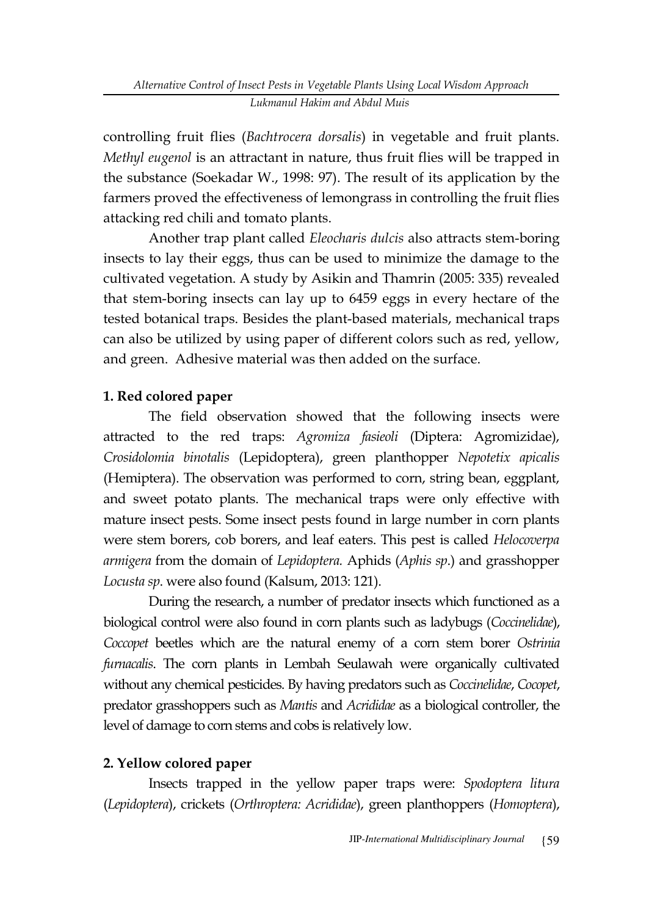controlling fruit flies (*Bachtrocera dorsalis*) in vegetable and fruit plants. *Methyl eugenol* is an attractant in nature, thus fruit flies will be trapped in the substance (Soekadar W., 1998: 97). The result of its application by the farmers proved the effectiveness of lemongrass in controlling the fruit flies attacking red chili and tomato plants.

Another trap plant called *Eleocharis dulcis* also attracts stem-boring insects to lay their eggs, thus can be used to minimize the damage to the cultivated vegetation. A study by Asikin and Thamrin (2005: 335) revealed that stem-boring insects can lay up to 6459 eggs in every hectare of the tested botanical traps. Besides the plant-based materials, mechanical traps can also be utilized by using paper of different colors such as red, yellow, and green. Adhesive material was then added on the surface.

# **1. Red colored paper**

The field observation showed that the following insects were attracted to the red traps: *Agromiza fasieoli* (Diptera: Agromizidae), *Crosidolomia binotalis* (Lepidoptera), green planthopper *Nepotetix apicalis* (Hemiptera). The observation was performed to corn, string bean, eggplant, and sweet potato plants. The mechanical traps were only effective with mature insect pests. Some insect pests found in large number in corn plants were stem borers, cob borers, and leaf eaters. This pest is called *Helocoverpa armigera* from the domain of *Lepidoptera.* Aphids (*Aphis sp*.) and grasshopper *Locusta sp*. were also found (Kalsum, 2013: 121).

During the research, a number of predator insects which functioned as a biological control were also found in corn plants such as ladybugs (*Coccinelidae*), *Coccopet* beetles which are the natural enemy of a corn stem borer *Ostrinia furnacalis*. The corn plants in Lembah Seulawah were organically cultivated without any chemical pesticides. By having predators such as *Coccinelidae*, *Cocopet*, predator grasshoppers such as *Mantis* and *Acrididae* as a biological controller, the level of damage to corn stems and cobs is relatively low.

## **2. Yellow colored paper**

Insects trapped in the yellow paper traps were: *Spodoptera litura* (*Lepidoptera*), crickets (*Orthroptera: Acrididae*), green planthoppers (*Homoptera*),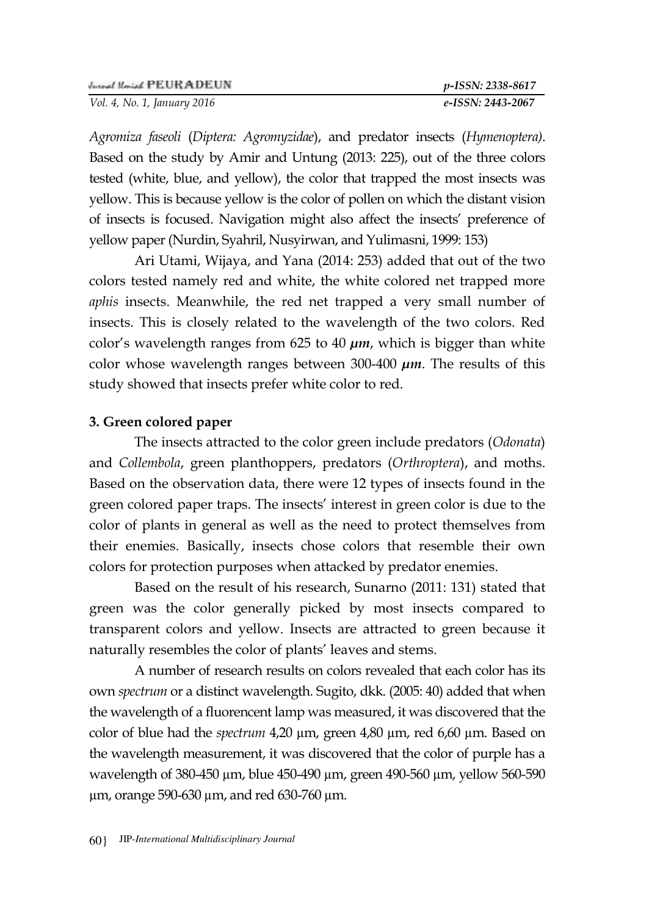*Vol. 4, No. 1, January 2016 e-ISSN: 2443-2067*

*Agromiza faseoli* (*Diptera: Agromyzidae*), and predator insects (*Hymenoptera)*. Based on the study by Amir and Untung (2013: 225), out of the three colors tested (white, blue, and yellow), the color that trapped the most insects was yellow. This is because yellow is the color of pollen on which the distant vision of insects is focused. Navigation might also affect the insects' preference of yellow paper (Nurdin, Syahril, Nusyirwan, and Yulimasni, 1999: 153)

Ari Utami, Wijaya, and Yana (2014: 253) added that out of the two colors tested namely red and white, the white colored net trapped more *aphis* insects. Meanwhile, the red net trapped a very small number of insects. This is closely related to the wavelength of the two colors. Red color's wavelength ranges from 625 to 40 *µm*, which is bigger than white color whose wavelength ranges between 300-400 *µm*. The results of this study showed that insects prefer white color to red.

### **3. Green colored paper**

The insects attracted to the color green include predators (*Odonata*) and *Collembola*, green planthoppers, predators (*Orthroptera*), and moths. Based on the observation data, there were 12 types of insects found in the green colored paper traps. The insects' interest in green color is due to the color of plants in general as well as the need to protect themselves from their enemies. Basically, insects chose colors that resemble their own colors for protection purposes when attacked by predator enemies.

Based on the result of his research, Sunarno (2011: 131) stated that green was the color generally picked by most insects compared to transparent colors and yellow. Insects are attracted to green because it naturally resembles the color of plants' leaves and stems.

A number of research results on colors revealed that each color has its own *spectrum* or a distinct wavelength. Sugito, dkk. (2005: 40) added that when the wavelength of a fluorencent lamp was measured, it was discovered that the color of blue had the *spectrum* 4,20 µm, green 4,80 µm, red 6,60 µm. Based on the wavelength measurement, it was discovered that the color of purple has a wavelength of 380-450 µm, blue 450-490 µm, green 490-560 µm, yellow 560-590 µm, orange 590-630 µm, and red 630-760 µm.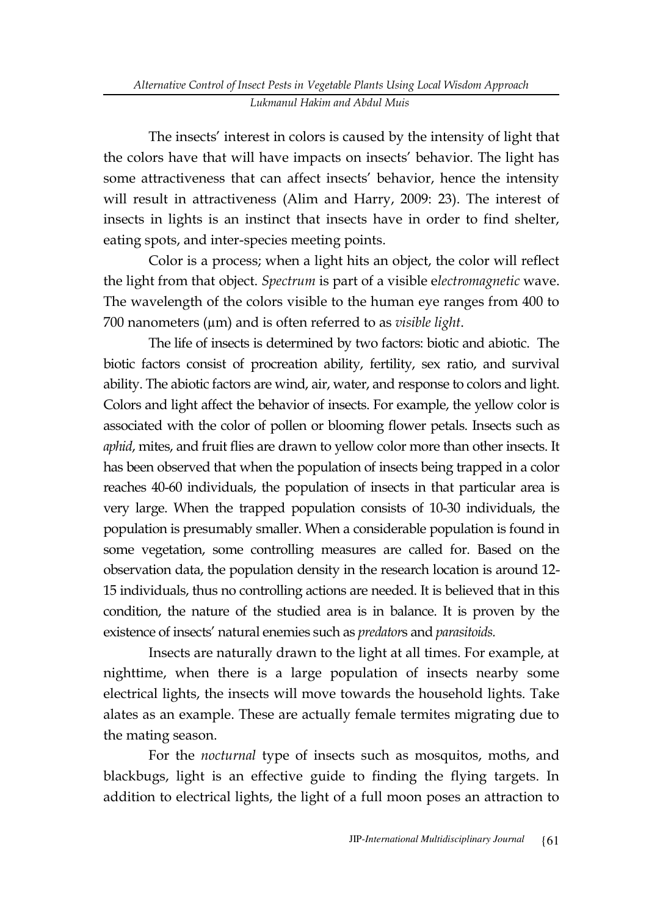The insects' interest in colors is caused by the intensity of light that the colors have that will have impacts on insects' behavior. The light has some attractiveness that can affect insects' behavior, hence the intensity will result in attractiveness (Alim and Harry, 2009: 23). The interest of insects in lights is an instinct that insects have in order to find shelter, eating spots, and inter-species meeting points.

Color is a process; when a light hits an object, the color will reflect the light from that object. *Spectrum* is part of a visible e*lectromagnetic* wave. The wavelength of the colors visible to the human eye ranges from 400 to 700 nanometers (µm) and is often referred to as *visible light*.

The life of insects is determined by two factors: biotic and abiotic. The biotic factors consist of procreation ability, fertility, sex ratio, and survival ability. The abiotic factors are wind, air, water, and response to colors and light. Colors and light affect the behavior of insects. For example, the yellow color is associated with the color of pollen or blooming flower petals. Insects such as *aphid*, mites, and fruit flies are drawn to yellow color more than other insects. It has been observed that when the population of insects being trapped in a color reaches 40-60 individuals, the population of insects in that particular area is very large. When the trapped population consists of 10-30 individuals, the population is presumably smaller. When a considerable population is found in some vegetation, some controlling measures are called for. Based on the observation data, the population density in the research location is around 12- 15 individuals, thus no controlling actions are needed. It is believed that in this condition, the nature of the studied area is in balance. It is proven by the existence of insects' natural enemies such as *predator*s and *parasitoids.* 

Insects are naturally drawn to the light at all times. For example, at nighttime, when there is a large population of insects nearby some electrical lights, the insects will move towards the household lights. Take alates as an example. These are actually female termites migrating due to the mating season.

For the *nocturnal* type of insects such as mosquitos, moths, and blackbugs, light is an effective guide to finding the flying targets. In addition to electrical lights, the light of a full moon poses an attraction to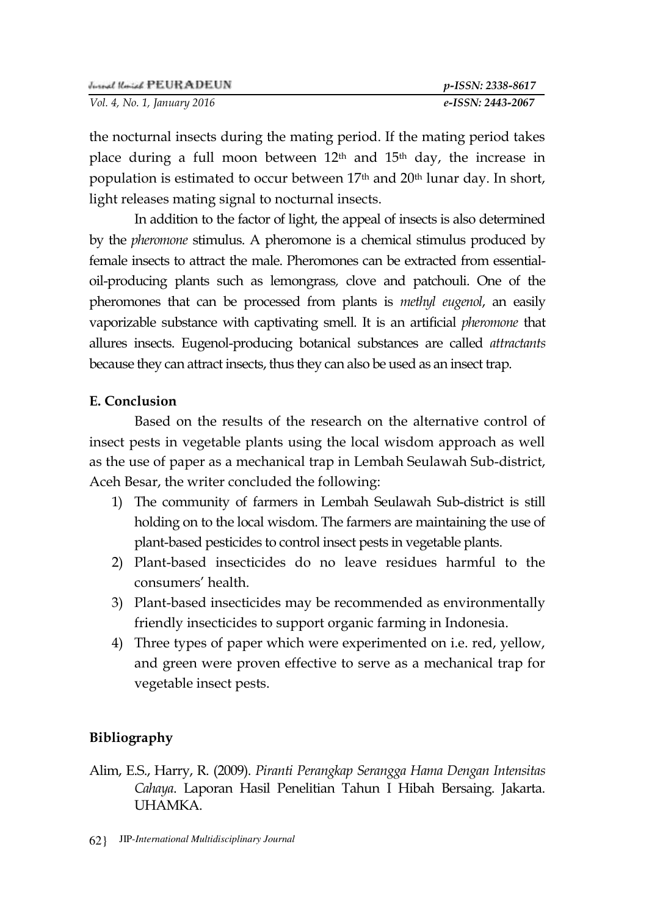| Jurnal Korial PEURADEUN     | p-ISSN: 2338-8617 |
|-----------------------------|-------------------|
| Vol. 4, No. 1, January 2016 | e-ISSN: 2443-2067 |

the nocturnal insects during the mating period. If the mating period takes place during a full moon between  $12<sup>th</sup>$  and  $15<sup>th</sup>$  day, the increase in population is estimated to occur between 17th and 20th lunar day. In short, light releases mating signal to nocturnal insects.

In addition to the factor of light, the appeal of insects is also determined by the *pheromone* stimulus. A pheromone is a chemical stimulus produced by female insects to attract the male. Pheromones can be extracted from essentialoil-producing plants such as lemongrass*,* clove and patchouli. One of the pheromones that can be processed from plants is *methyl eugenol*, an easily vaporizable substance with captivating smell. It is an artificial *pheromone* that allures insects. Eugenol-producing botanical substances are called *attractants*  because they can attract insects, thus they can also be used as an insect trap.

### **E. Conclusion**

Based on the results of the research on the alternative control of insect pests in vegetable plants using the local wisdom approach as well as the use of paper as a mechanical trap in Lembah Seulawah Sub-district, Aceh Besar, the writer concluded the following:

- 1) The community of farmers in Lembah Seulawah Sub-district is still holding on to the local wisdom. The farmers are maintaining the use of plant-based pesticides to control insect pests in vegetable plants.
- 2) Plant-based insecticides do no leave residues harmful to the consumers' health.
- 3) Plant-based insecticides may be recommended as environmentally friendly insecticides to support organic farming in Indonesia.
- 4) Three types of paper which were experimented on i.e. red, yellow, and green were proven effective to serve as a mechanical trap for vegetable insect pests.

### **Bibliography**

Alim, E.S., Harry, R. (2009). *Piranti Perangkap Serangga Hama Dengan Intensitas Cahaya*. Laporan Hasil Penelitian Tahun I Hibah Bersaing. Jakarta. UHAMKA.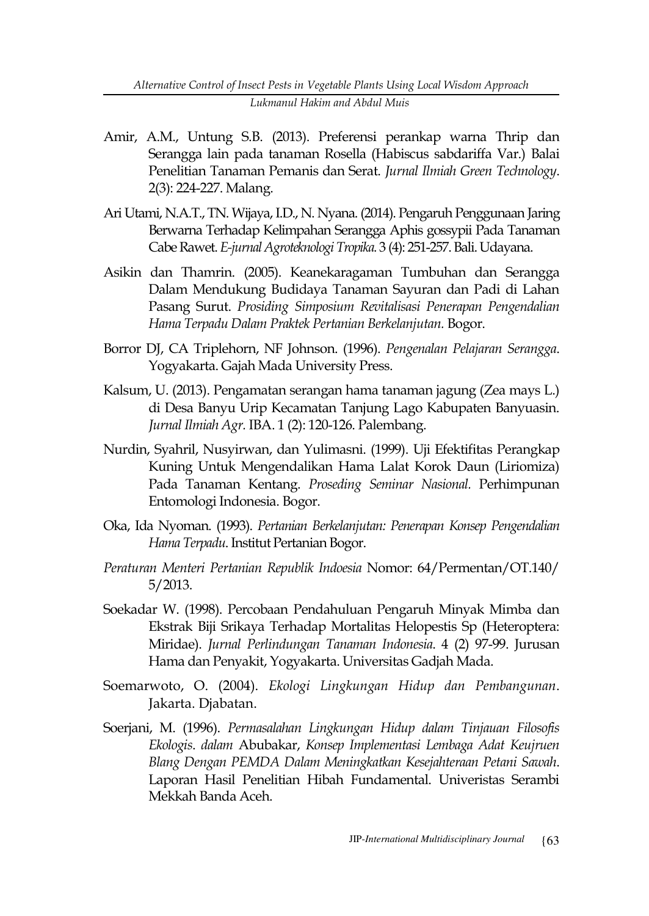- Amir, A.M., Untung S.B. (2013). Preferensi perankap warna Thrip dan Serangga lain pada tanaman Rosella (Habiscus sabdariffa Var.) Balai Penelitian Tanaman Pemanis dan Serat. *Jurnal Ilmiah Green Technology*. 2(3): 224-227. Malang.
- Ari Utami, N.A.T., TN. Wijaya, I.D., N. Nyana. (2014). Pengaruh Penggunaan Jaring Berwarna Terhadap Kelimpahan Serangga Aphis gossypii Pada Tanaman Cabe Rawet. *E-jurnal Agroteknologi Tropika.* 3 (4): 251-257. Bali. Udayana.
- Asikin dan Thamrin. (2005). Keanekaragaman Tumbuhan dan Serangga Dalam Mendukung Budidaya Tanaman Sayuran dan Padi di Lahan Pasang Surut. *Prosiding Simposium Revitalisasi Penerapan Pengendalian Hama Terpadu Dalam Praktek Pertanian Berkelanjutan.* Bogor.
- Borror DJ, CA Triplehorn, NF Johnson. (1996). *Pengenalan Pelajaran Serangga*. Yogyakarta. Gajah Mada University Press.
- Kalsum, U. (2013). Pengamatan serangan hama tanaman jagung (Zea mays L.) di Desa Banyu Urip Kecamatan Tanjung Lago Kabupaten Banyuasin. *Jurnal Ilmiah Agr.* IBA. 1 (2): 120-126. Palembang.
- Nurdin, Syahril, Nusyirwan, dan Yulimasni. (1999). Uji Efektifitas Perangkap Kuning Untuk Mengendalikan Hama Lalat Korok Daun (Liriomiza) Pada Tanaman Kentang. *Proseding Seminar Nasional.* Perhimpunan Entomologi Indonesia. Bogor.
- Oka, Ida Nyoman. (1993). *Pertanian Berkelanjutan: Penerapan Konsep Pengendalian Hama Terpadu*. Institut Pertanian Bogor.
- *Peraturan Menteri Pertanian Republik Indoesia* Nomor: 64/Permentan/OT.140/ 5/2013.
- Soekadar W. (1998). Percobaan Pendahuluan Pengaruh Minyak Mimba dan Ekstrak Biji Srikaya Terhadap Mortalitas Helopestis Sp (Heteroptera: Miridae). *Jurnal Perlindungan Tanaman Indonesia*. 4 (2) 97-99. Jurusan Hama dan Penyakit, Yogyakarta. Universitas Gadjah Mada.
- Soemarwoto, O. (2004). *Ekologi Lingkungan Hidup dan Pembangunan*. Jakarta. Djabatan.
- Soerjani, M. (1996). *Permasalahan Lingkungan Hidup dalam Tinjauan Filosofis Ekologis*. *dalam* Abubakar, *Konsep Implementasi Lembaga Adat Keujruen Blang Dengan PEMDA Dalam Meningkatkan Kesejahteraan Petani Sawah*. Laporan Hasil Penelitian Hibah Fundamental. Univeristas Serambi Mekkah Banda Aceh.